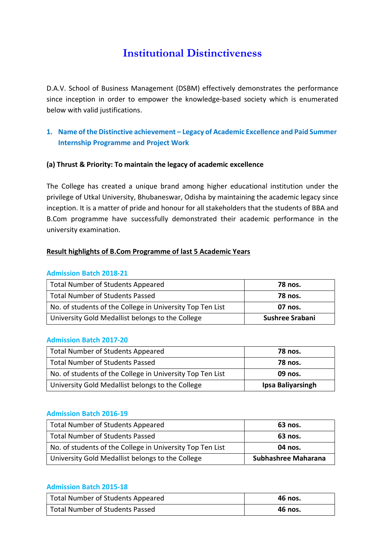# Institutional Distinctiveness

D.A.V. School of Business Management (DSBM) effectively demonstrates the performance since inception in order to empower the knowledge-based society which is enumerated below with valid justifications.

# 1. Name of the Distinctive achievement – Legacy of Academic Excellence and Paid Summer Internship Programme and Project Work

### (a) Thrust & Priority: To maintain the legacy of academic excellence

The College has created a unique brand among higher educational institution under the privilege of Utkal University, Bhubaneswar, Odisha by maintaining the academic legacy since inception. It is a matter of pride and honour for all stakeholders that the students of BBA and B.Com programme have successfully demonstrated their academic performance in the university examination.

### Result highlights of B.Com Programme of last 5 Academic Years

### Admission Batch 2018-21

| <b>Total Number of Students Appeared</b>                  | <b>78 nos.</b>  |
|-----------------------------------------------------------|-----------------|
| <b>Total Number of Students Passed</b>                    | <b>78 nos.</b>  |
| No. of students of the College in University Top Ten List | 07 nos.         |
| University Gold Medallist belongs to the College          | Sushree Srabani |

### Admission Batch 2017-20

| <b>Total Number of Students Appeared</b>                  | <b>78 nos.</b>    |
|-----------------------------------------------------------|-------------------|
| <b>Total Number of Students Passed</b>                    | <b>78 nos.</b>    |
| No. of students of the College in University Top Ten List | 09 nos.           |
| University Gold Medallist belongs to the College          | Ipsa Baliyarsingh |

### Admission Batch 2016-19

| Total Number of Students Appeared                         | 63 nos.             |
|-----------------------------------------------------------|---------------------|
| <b>Total Number of Students Passed</b>                    | 63 nos.             |
| No. of students of the College in University Top Ten List | 04 nos.             |
| University Gold Medallist belongs to the College          | Subhashree Maharana |

### Admission Batch 2015-18

| Total Number of Students Appeared      | 46 nos. |
|----------------------------------------|---------|
| <b>Total Number of Students Passed</b> | 46 nos. |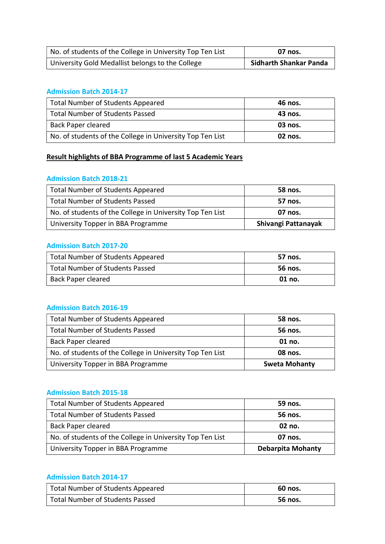| No. of students of the College in University Top Ten List | 07 nos.                |
|-----------------------------------------------------------|------------------------|
| University Gold Medallist belongs to the College          | Sidharth Shankar Panda |

# Admission Batch 2014-17

| <b>Total Number of Students Appeared</b>                  | 46 nos. |
|-----------------------------------------------------------|---------|
| <b>Total Number of Students Passed</b>                    | 43 nos. |
| <b>Back Paper cleared</b>                                 | 03 nos. |
| No. of students of the College in University Top Ten List | 02 nos. |

# Result highlights of BBA Programme of last 5 Academic Years

### Admission Batch 2018-21

| <b>Total Number of Students Appeared</b>                  | 58 nos.             |
|-----------------------------------------------------------|---------------------|
| <b>Total Number of Students Passed</b>                    | 57 nos.             |
| No. of students of the College in University Top Ten List | 07 nos.             |
| University Topper in BBA Programme                        | Shivangi Pattanayak |

### Admission Batch 2017-20

| Total Number of Students Appeared | 57 nos. |
|-----------------------------------|---------|
| Total Number of Students Passed   | 56 nos. |
| <b>Back Paper cleared</b>         | 01 no.  |

## Admission Batch 2016-19

| <b>Total Number of Students Appeared</b>                  | 58 nos.              |
|-----------------------------------------------------------|----------------------|
| <b>Total Number of Students Passed</b>                    | 56 nos.              |
| <b>Back Paper cleared</b>                                 | $01$ no.             |
| No. of students of the College in University Top Ten List | 08 nos.              |
| University Topper in BBA Programme                        | <b>Sweta Mohanty</b> |

### Admission Batch 2015-18

| <b>Total Number of Students Appeared</b>                  | 59 nos.                  |
|-----------------------------------------------------------|--------------------------|
| <b>Total Number of Students Passed</b>                    | 56 nos.                  |
| <b>Back Paper cleared</b>                                 | 02 no.                   |
| No. of students of the College in University Top Ten List | 07 nos.                  |
| University Topper in BBA Programme                        | <b>Debarpita Mohanty</b> |

### Admission Batch 2014-17

| Total Number of Students Appeared | 60 nos. |
|-----------------------------------|---------|
| Total Number of Students Passed   | 56 nos. |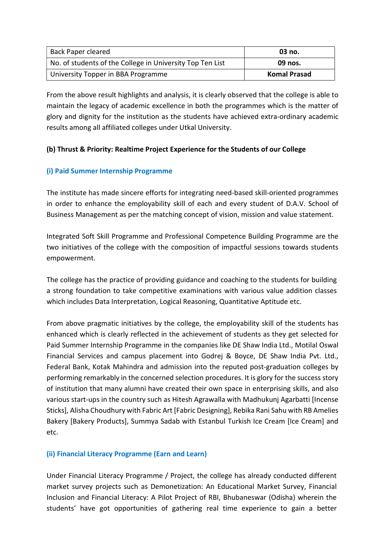| Back Paper cleared                                        | 03 no.              |
|-----------------------------------------------------------|---------------------|
| No. of students of the College in University Top Ten List | 09 nos.             |
| University Topper in BBA Programme                        | <b>Komal Prasad</b> |

From the above result highlights and analysis, it is clearly observed that the college is able to maintain the legacy of academic excellence in both the programmes which is the matter of glory and dignity for the institution as the students have achieved extra-ordinary academic results among all affiliated colleges under Utkal University.

# (b) Thrust & Priority: Realtime Project Experience for the Students of our College

# (i) Paid Summer Internship Programme

The institute has made sincere efforts for integrating need-based skill-oriented programmes in order to enhance the employability skill of each and every student of D.A.V. School of Business Management as per the matching concept of vision, mission and value statement.

Integrated Soft Skill Programme and Professional Competence Building Programme are the two initiatives of the college with the composition of impactful sessions towards students empowerment.

The college has the practice of providing guidance and coaching to the students for building a strong foundation to take competitive examinations with various value addition classes which includes Data Interpretation, Logical Reasoning, Quantitative Aptitude etc.

From above pragmatic initiatives by the college, the employability skill of the students has enhanced which is clearly reflected in the achievement of students as they get selected for Paid Summer Internship Programme in the companies like DE Shaw India Ltd., Motilal Oswal Financial Services and campus placement into Godrej & Boyce, DE Shaw India Pvt. Ltd., Federal Bank, Kotak Mahindra and admission into the reputed post-graduation colleges by performing remarkably in the concerned selection procedures. It is glory for the success story of institution that many alumni have created their own space in enterprising skills, and also various start-ups in the country such as Hitesh Agrawalla with Madhukunj Agarbatti [Incense Sticks], Alisha Choudhury with Fabric Art [Fabric Designing], Rebika Rani Sahu with RB Amelies Bakery [Bakery Products], Summya Sadab with Estanbul Turkish Ice Cream [Ice Cream] and etc.

# (ii) Financial Literacy Programme (Earn and Learn)

Under Financial Literacy Programme / Project, the college has already conducted different market survey projects such as Demonetization: An Educational Market Survey, Financial Inclusion and Financial Literacy: A Pilot Project of RBI, Bhubaneswar (Odisha) wherein the students' have got opportunities of gathering real time experience to gain a better